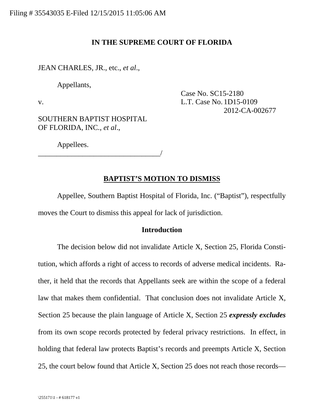# **IN THE SUPREME COURT OF FLORIDA**

JEAN CHARLES, JR., etc., *et al*.,

Appellants,

Case No. SC15-2180 v. L.T. Case No. 1D15-0109 2012-CA-002677

SOUTHERN BAPTIST HOSPITAL OF FLORIDA, INC., *et al*.,

Appellees.

\_\_\_\_\_\_\_\_\_\_\_\_\_\_\_\_\_\_\_\_\_\_\_\_\_\_\_\_\_\_\_\_\_/

# **BAPTIST'S MOTION TO DISMISS**

Appellee, Southern Baptist Hospital of Florida, Inc. ("Baptist"), respectfully moves the Court to dismiss this appeal for lack of jurisdiction.

### **Introduction**

The decision below did not invalidate Article X, Section 25, Florida Constitution, which affords a right of access to records of adverse medical incidents. Rather, it held that the records that Appellants seek are within the scope of a federal law that makes them confidential. That conclusion does not invalidate Article X, Section 25 because the plain language of Article X, Section 25 *expressly excludes* from its own scope records protected by federal privacy restrictions. In effect, in holding that federal law protects Baptist's records and preempts Article X, Section 25, the court below found that Article X, Section 25 does not reach those records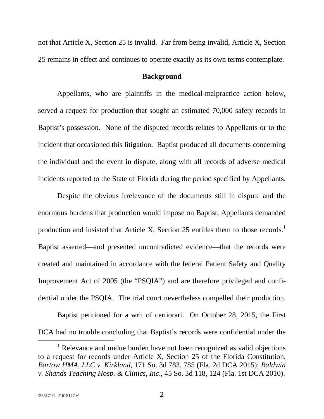not that Article X, Section 25 is invalid. Far from being invalid, Article X, Section 25 remains in effect and continues to operate exactly as its own terms contemplate.

#### **Background**

Appellants, who are plaintiffs in the medical-malpractice action below, served a request for production that sought an estimated 70,000 safety records in Baptist's possession. None of the disputed records relates to Appellants or to the incident that occasioned this litigation. Baptist produced all documents concerning the individual and the event in dispute, along with all records of adverse medical incidents reported to the State of Florida during the period specified by Appellants.

Despite the obvious irrelevance of the documents still in dispute and the enormous burdens that production would impose on Baptist, Appellants demanded production and insisted that Article X, Section 25 entitles them to those records.<sup>[1](#page-1-0)</sup> Baptist asserted—and presented uncontradicted evidence—that the records were created and maintained in accordance with the federal Patient Safety and Quality Improvement Act of 2005 (the "PSQIA") and are therefore privileged and confidential under the PSQIA. The trial court nevertheless compelled their production.

Baptist petitioned for a writ of certiorari. On October 28, 2015, the First DCA had no trouble concluding that Baptist's records were confidential under the

<span id="page-1-0"></span><sup>&</sup>lt;sup>1</sup> Relevance and undue burden have not been recognized as valid objections to a request for records under Article X, Section 25 of the Florida Constitution. *Bartow HMA*, *LLC v. Kirkland*, 171 So. 3d 783, 785 (Fla. 2d DCA 2015); *Baldwin v. Shands Teaching Hosp. & Clinics*, *Inc*., 45 So. 3d 118, 124 (Fla. 1st DCA 2010).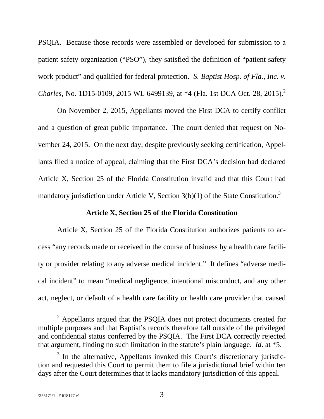PSQIA. Because those records were assembled or developed for submission to a patient safety organization ("PSO"), they satisfied the definition of "patient safety work product" and qualified for federal protection. *S. Baptist Hosp. of Fla.*, *Inc. v. Charles*, No. 1D15-0109, [2](#page-2-0)015 WL 6499139, at \*4 (Fla. 1st DCA Oct. 28, 2015).<sup>2</sup>

On November 2, 2015, Appellants moved the First DCA to certify conflict and a question of great public importance. The court denied that request on November 24, 2015. On the next day, despite previously seeking certification, Appellants filed a notice of appeal, claiming that the First DCA's decision had declared Article X, Section 25 of the Florida Constitution invalid and that this Court had mandatory jurisdiction under Article V, Section [3](#page-2-1)(b)(1) of the State Constitution.<sup>3</sup>

# **Article X, Section 25 of the Florida Constitution**

Article X, Section 25 of the Florida Constitution authorizes patients to access "any records made or received in the course of business by a health care facility or provider relating to any adverse medical incident." It defines "adverse medical incident" to mean "medical negligence, intentional misconduct, and any other act, neglect, or default of a health care facility or health care provider that caused

<span id="page-2-0"></span> $2$  Appellants argued that the PSQIA does not protect documents created for multiple purposes and that Baptist's records therefore fall outside of the privileged and confidential status conferred by the PSQIA. The First DCA correctly rejected that argument, finding no such limitation in the statute's plain language. *Id*. at \*5.

<span id="page-2-1"></span><sup>&</sup>lt;sup>3</sup> In the alternative, Appellants invoked this Court's discretionary jurisdiction and requested this Court to permit them to file a jurisdictional brief within ten days after the Court determines that it lacks mandatory jurisdiction of this appeal.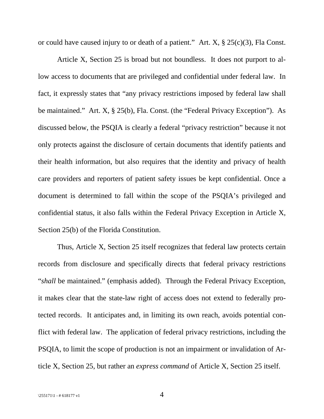or could have caused injury to or death of a patient." Art. X, § 25(c)(3), Fla Const.

Article X, Section 25 is broad but not boundless. It does not purport to allow access to documents that are privileged and confidential under federal law. In fact, it expressly states that "any privacy restrictions imposed by federal law shall be maintained." Art. X, § 25(b), Fla. Const. (the "Federal Privacy Exception"). As discussed below, the PSQIA is clearly a federal "privacy restriction" because it not only protects against the disclosure of certain documents that identify patients and their health information, but also requires that the identity and privacy of health care providers and reporters of patient safety issues be kept confidential. Once a document is determined to fall within the scope of the PSQIA's privileged and confidential status, it also falls within the Federal Privacy Exception in Article X, Section 25(b) of the Florida Constitution.

Thus, Article X, Section 25 itself recognizes that federal law protects certain records from disclosure and specifically directs that federal privacy restrictions "*shall* be maintained." (emphasis added). Through the Federal Privacy Exception, it makes clear that the state-law right of access does not extend to federally protected records. It anticipates and, in limiting its own reach, avoids potential conflict with federal law. The application of federal privacy restrictions, including the PSQIA, to limit the scope of production is not an impairment or invalidation of Article X, Section 25, but rather an *express command* of Article X, Section 25 itself.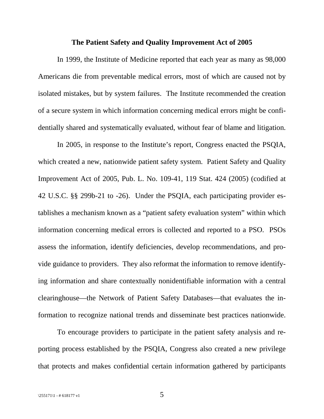#### **The Patient Safety and Quality Improvement Act of 2005**

In 1999, the Institute of Medicine reported that each year as many as 98,000 Americans die from preventable medical errors, most of which are caused not by isolated mistakes, but by system failures. The Institute recommended the creation of a secure system in which information concerning medical errors might be confidentially shared and systematically evaluated, without fear of blame and litigation.

In 2005, in response to the Institute's report, Congress enacted the PSQIA, which created a new, nationwide patient safety system. Patient Safety and Quality Improvement Act of 2005, Pub. L. No. 109-41, 119 Stat. 424 (2005) (codified at 42 U.S.C. §§ 299b-21 to -26). Under the PSQIA, each participating provider establishes a mechanism known as a "patient safety evaluation system" within which information concerning medical errors is collected and reported to a PSO. PSOs assess the information, identify deficiencies, develop recommendations, and provide guidance to providers. They also reformat the information to remove identifying information and share contextually nonidentifiable information with a central clearinghouse—the Network of Patient Safety Databases—that evaluates the information to recognize national trends and disseminate best practices nationwide.

To encourage providers to participate in the patient safety analysis and reporting process established by the PSQIA, Congress also created a new privilege that protects and makes confidential certain information gathered by participants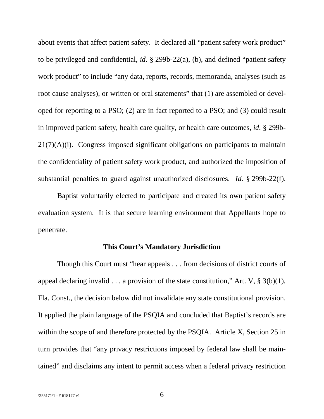about events that affect patient safety. It declared all "patient safety work product" to be privileged and confidential, *id*. § 299b-22(a), (b), and defined "patient safety work product" to include "any data, reports, records, memoranda, analyses (such as root cause analyses), or written or oral statements" that (1) are assembled or developed for reporting to a PSO; (2) are in fact reported to a PSO; and (3) could result in improved patient safety, health care quality, or health care outcomes, *id*. § 299b- $21(7)(A)(i)$ . Congress imposed significant obligations on participants to maintain the confidentiality of patient safety work product, and authorized the imposition of substantial penalties to guard against unauthorized disclosures. *Id*. § 299b-22(f).

Baptist voluntarily elected to participate and created its own patient safety evaluation system. It is that secure learning environment that Appellants hope to penetrate.

#### **This Court's Mandatory Jurisdiction**

Though this Court must "hear appeals . . . from decisions of district courts of appeal declaring invalid  $\dots$  a provision of the state constitution," Art. V, § 3(b)(1), Fla. Const., the decision below did not invalidate any state constitutional provision. It applied the plain language of the PSQIA and concluded that Baptist's records are within the scope of and therefore protected by the PSQIA. Article X, Section 25 in turn provides that "any privacy restrictions imposed by federal law shall be maintained" and disclaims any intent to permit access when a federal privacy restriction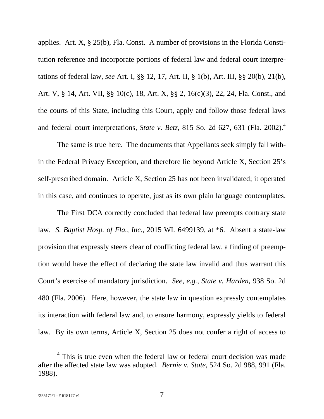applies. Art. X, § 25(b), Fla. Const. A number of provisions in the Florida Constitution reference and incorporate portions of federal law and federal court interpretations of federal law, *see* Art. I, §§ 12, 17, Art. II, § 1(b), Art. III, §§ 20(b), 21(b), Art. V, § 14, Art. VII, §§ 10(c), 18, Art. X, §§ 2, 16(c)(3), 22, 24, Fla. Const., and the courts of this State, including this Court, apply and follow those federal laws and federal court interpretations, *State v. Betz*, 815 So. 2d 627, 631 (Fla. 2002).[4](#page-6-0)

The same is true here. The documents that Appellants seek simply fall within the Federal Privacy Exception, and therefore lie beyond Article X, Section 25's self-prescribed domain. Article X, Section 25 has not been invalidated; it operated in this case, and continues to operate, just as its own plain language contemplates.

The First DCA correctly concluded that federal law preempts contrary state law. *S. Baptist Hosp. of Fla.*, *Inc.*, 2015 WL 6499139, at \*6. Absent a state-law provision that expressly steers clear of conflicting federal law, a finding of preemption would have the effect of declaring the state law invalid and thus warrant this Court's exercise of mandatory jurisdiction. *See*, *e.g.*, *State v. Harden*, 938 So. 2d 480 (Fla. 2006). Here, however, the state law in question expressly contemplates its interaction with federal law and, to ensure harmony, expressly yields to federal law. By its own terms, Article X, Section 25 does not confer a right of access to

<span id="page-6-0"></span><sup>&</sup>lt;sup>4</sup> This is true even when the federal law or federal court decision was made after the affected state law was adopted. *Bernie v. State*, 524 So. 2d 988, 991 (Fla. 1988).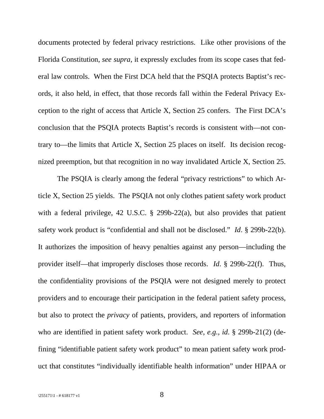documents protected by federal privacy restrictions. Like other provisions of the Florida Constitution, *see supra*, it expressly excludes from its scope cases that federal law controls. When the First DCA held that the PSQIA protects Baptist's records, it also held, in effect, that those records fall within the Federal Privacy Exception to the right of access that Article X, Section 25 confers. The First DCA's conclusion that the PSQIA protects Baptist's records is consistent with—not contrary to—the limits that Article X, Section 25 places on itself. Its decision recognized preemption, but that recognition in no way invalidated Article X, Section 25.

The PSQIA is clearly among the federal "privacy restrictions" to which Article X, Section 25 yields. The PSQIA not only clothes patient safety work product with a federal privilege, 42 U.S.C. § 299b-22(a), but also provides that patient safety work product is "confidential and shall not be disclosed." *Id*. § 299b-22(b). It authorizes the imposition of heavy penalties against any person—including the provider itself—that improperly discloses those records. *Id*. § 299b-22(f). Thus, the confidentiality provisions of the PSQIA were not designed merely to protect providers and to encourage their participation in the federal patient safety process, but also to protect the *privacy* of patients, providers, and reporters of information who are identified in patient safety work product. *See*, *e.g.*, *id*. § 299b-21(2) (defining "identifiable patient safety work product" to mean patient safety work product that constitutes "individually identifiable health information" under HIPAA or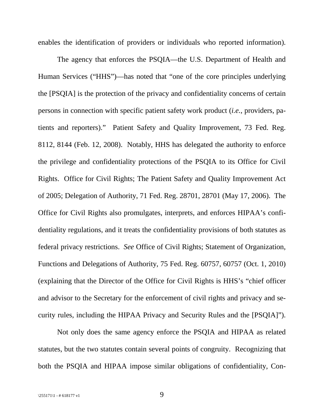enables the identification of providers or individuals who reported information).

The agency that enforces the PSQIA—the U.S. Department of Health and Human Services ("HHS")—has noted that "one of the core principles underlying the [PSQIA] is the protection of the privacy and confidentiality concerns of certain persons in connection with specific patient safety work product (*i.e.*, providers, patients and reporters)." Patient Safety and Quality Improvement, 73 Fed. Reg. 8112, 8144 (Feb. 12, 2008). Notably, HHS has delegated the authority to enforce the privilege and confidentiality protections of the PSQIA to its Office for Civil Rights. Office for Civil Rights; The Patient Safety and Quality Improvement Act of 2005; Delegation of Authority, 71 Fed. Reg. 28701, 28701 (May 17, 2006). The Office for Civil Rights also promulgates, interprets, and enforces HIPAA's confidentiality regulations, and it treats the confidentiality provisions of both statutes as federal privacy restrictions. *See* Office of Civil Rights; Statement of Organization, Functions and Delegations of Authority, 75 Fed. Reg. 60757, 60757 (Oct. 1, 2010) (explaining that the Director of the Office for Civil Rights is HHS's "chief officer and advisor to the Secretary for the enforcement of civil rights and privacy and security rules, including the HIPAA Privacy and Security Rules and the [PSQIA]").

Not only does the same agency enforce the PSQIA and HIPAA as related statutes, but the two statutes contain several points of congruity. Recognizing that both the PSQIA and HIPAA impose similar obligations of confidentiality, Con-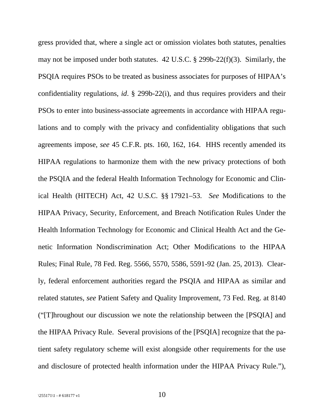gress provided that, where a single act or omission violates both statutes, penalties may not be imposed under both statutes. 42 U.S.C. § 299b-22(f)(3). Similarly, the PSQIA requires PSOs to be treated as business associates for purposes of HIPAA's confidentiality regulations, *id*. § 299b-22(i), and thus requires providers and their PSOs to enter into business-associate agreements in accordance with HIPAA regulations and to comply with the privacy and confidentiality obligations that such agreements impose, *see* 45 C.F.R. pts. 160, 162, 164. HHS recently amended its HIPAA regulations to harmonize them with the new privacy protections of both the PSQIA and the federal Health Information Technology for Economic and Clinical Health (HITECH) Act, 42 U.S.C. §§ 17921–53. *See* Modifications to the HIPAA Privacy, Security, Enforcement, and Breach Notification Rules Under the Health Information Technology for Economic and Clinical Health Act and the Genetic Information Nondiscrimination Act; Other Modifications to the HIPAA Rules; Final Rule, 78 Fed. Reg. 5566, 5570, 5586, 5591-92 (Jan. 25, 2013). Clearly, federal enforcement authorities regard the PSQIA and HIPAA as similar and related statutes, *see* Patient Safety and Quality Improvement, 73 Fed. Reg. at 8140 ("[T]hroughout our discussion we note the relationship between the [PSQIA] and the HIPAA Privacy Rule. Several provisions of the [PSQIA] recognize that the patient safety regulatory scheme will exist alongside other requirements for the use and disclosure of protected health information under the HIPAA Privacy Rule."),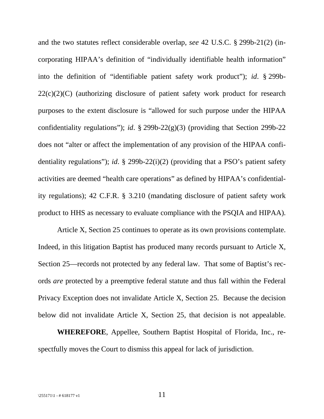and the two statutes reflect considerable overlap, *see* 42 U.S.C. § 299b-21(2) (incorporating HIPAA's definition of "individually identifiable health information" into the definition of "identifiable patient safety work product"); *id*. § 299b- $22(c)(2)(C)$  (authorizing disclosure of patient safety work product for research purposes to the extent disclosure is "allowed for such purpose under the HIPAA confidentiality regulations"); *id*. § 299b-22(g)(3) (providing that Section 299b-22 does not "alter or affect the implementation of any provision of the HIPAA confidentiality regulations"); *id*. § 299b-22(i)(2) (providing that a PSO's patient safety activities are deemed "health care operations" as defined by HIPAA's confidentiality regulations); 42 C.F.R. § 3.210 (mandating disclosure of patient safety work product to HHS as necessary to evaluate compliance with the PSQIA and HIPAA).

Article X, Section 25 continues to operate as its own provisions contemplate. Indeed, in this litigation Baptist has produced many records pursuant to Article X, Section 25—records not protected by any federal law. That some of Baptist's records *are* protected by a preemptive federal statute and thus fall within the Federal Privacy Exception does not invalidate Article X, Section 25. Because the decision below did not invalidate Article X, Section 25, that decision is not appealable.

**WHEREFORE**, Appellee, Southern Baptist Hospital of Florida, Inc., respectfully moves the Court to dismiss this appeal for lack of jurisdiction.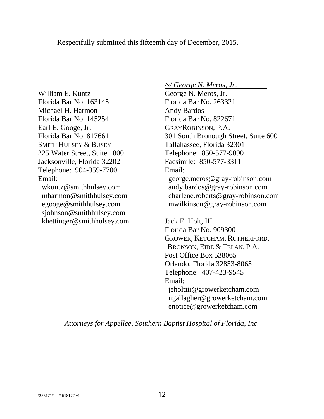Respectfully submitted this fifteenth day of December, 2015.

William E. Kuntz Florida Bar No. 163145 Michael H. Harmon Florida Bar No. 145254 Earl E. Googe, Jr. Florida Bar No. 817661 SMITH HULSEY & BUSEY 225 Water Street, Suite 1800 Jacksonville, Florida 32202 Telephone: 904-359-7700 Email: wkuntz@smithhulsey.com

mharmon@smithhulsey.com egooge@smithhulsey.com sjohnson@smithhulsey.com khettinger@smithhulsey.com */s/ George N. Meros*, *Jr*.

George N. Meros, Jr. Florida Bar No. 263321 Andy Bardos Florida Bar No. 822671 GRAYROBINSON, P.A. 301 South Bronough Street, Suite 600 Tallahassee, Florida 32301 Telephone: 850-577-9090 Facsimile: 850-577-3311 Email: george.meros@gray-robinson.com andy.bardos@gray-robinson.com charlene.roberts@gray-robinson.com mwilkinson@gray-robinson.com

Jack E. Holt, III Florida Bar No. 909300 GROWER, KETCHAM, RUTHERFORD, BRONSON, EIDE & TELAN, P.A. Post Office Box 538065 Orlando, Florida 32853-8065 Telephone: 407-423-9545 Email: jeholtiii@growerketcham.com ngallagher@growerketcham.com enotice@growerketcham.com

*Attorneys for Appellee*, *Southern Baptist Hospital of Florida*, *Inc.*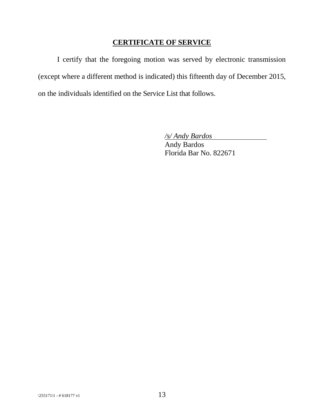# **CERTIFICATE OF SERVICE**

I certify that the foregoing motion was served by electronic transmission (except where a different method is indicated) this fifteenth day of December 2015, on the individuals identified on the Service List that follows.

*/s/ Andy Bardos*

Andy Bardos Florida Bar No. 822671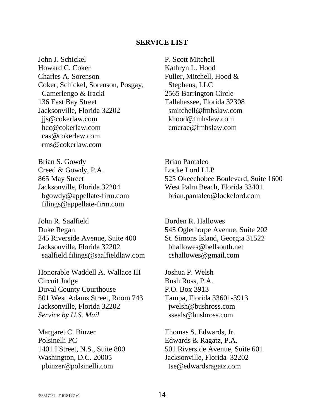#### **SERVICE LIST**

John J. Schickel Howard C. Coker Charles A. Sorenson Coker, Schickel, Sorenson, Posgay, Camerlengo & Iracki 136 East Bay Street Jacksonville, Florida 32202 jjs@cokerlaw.com hcc@cokerlaw.com cas@cokerlaw.com rms@cokerlaw.com

P. Scott Mitchell Kathryn L. Hood Fuller, Mitchell, Hood & Stephens, LLC 2565 Barrington Circle Tallahassee, Florida 32308 smitchell@fmhslaw.com khood@fmhslaw.com cmcrae@fmhslaw.com

Brian S. Gowdy Creed & Gowdy, P.A. 865 May Street Jacksonville, Florida 32204 bgowdy@appellate-firm.com filings@appellate-firm.com

John R. Saalfield Duke Regan 245 Riverside Avenue, Suite 400 Jacksonville, Florida 32202 saalfield.filings@saalfieldlaw.com

Honorable Waddell A. Wallace III Circuit Judge Duval County Courthouse 501 West Adams Street, Room 743 Jacksonville, Florida 32202 *Service by U.S. Mail*

Margaret C. Binzer Polsinelli PC 1401 I Street, N.S., Suite 800 Washington, D.C. 20005 pbinzer@polsinelli.com

Brian Pantaleo Locke Lord LLP 525 Okeechobee Boulevard, Suite 1600 West Palm Beach, Florida 33401 brian.pantaleo@lockelord.com

Borden R. Hallowes 545 Oglethorpe Avenue, Suite 202 St. Simons Island, Georgia 31522 bhallowes@bellsouth.net cshallowes@gmail.com

Joshua P. Welsh Bush Ross, P.A. P.O. Box 3913 Tampa, Florida 33601-3913 jwelsh@bushross.com sseals@bushross.com

Thomas S. Edwards, Jr. Edwards & Ragatz, P.A. 501 Riverside Avenue, Suite 601 Jacksonville, Florida 32202 tse@edwardsragatz.com